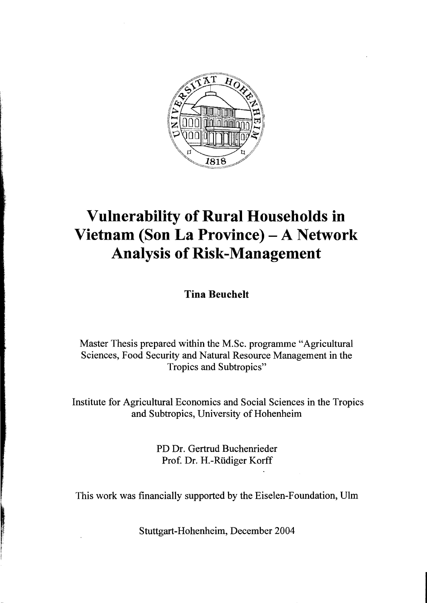

## **Vulnerability of Rural Households in Vietnam (Son La Province) - A Network Analysis of Risk-Management**

**Tina Beuehelt** 

Master Thesis prepared within the M.Sc. programme "Agricultural Sciences, Food Security and Natural Resource Management in the Tropics and Subtropics"

Institute for Agricultural Economics and Social Sciences in the Tropics and Subtropics, University of Hohenheim

> PD Dr. Gertrud Buchenrieder Prof. Dr. H.-Rüdiger Korff

This work was financially supported by the Eiselen-Foundation, Ulm

Stuttgart-Hohenheim, December 2004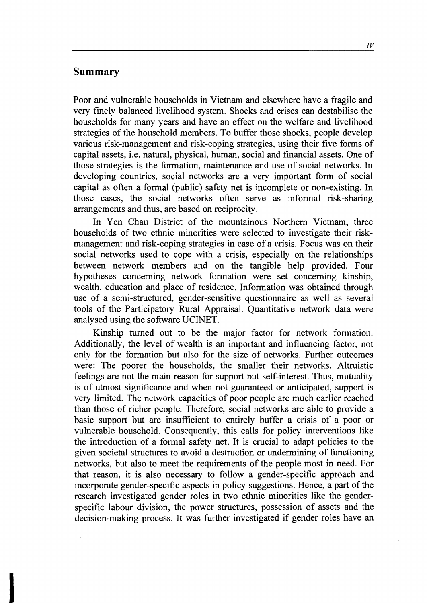## **Summary**

Poor and vulnerable households in Vietnam and elsewhere have a fragile and very finely balanced livelihood system. Shocks and crises can destabilise the households for many years and have an effect on the welfare and livelihood strategies of the household members. To buffer those shocks, people develop various risk-management and risk-coping strategies, using their five forms of capital assets, i.e. natural, physical, human, social and financial assets. One of those strategies is the formation, maintenance and use of social networks. In developing countries, social networks are a very important form of social capital as often a formal (public) safety net is incomplete or non-existing. In those cases, the social networks often serve as informal risk-sharing arrangements and thus, are based on reciprocity.

In Yen Chau District of the mountainous Northem Vietnam, three households of two ethnic minorities were selected to investigate their riskmanagement and risk-coping strategies in case of a crisis. Focus was on their social networks used to cope with a crisis, especially on the relationships between network members and on the tangible help provided. Four hypotheses conceming network formation were set conceming kinship, wealth, education and place of residence. Information was obtained through use of a semi-structured, gender-sensitive questionnaire as weIl as several tools of the Participatory Rural Appraisal. Quantitative network data were analysed using the software UCINET.

Kinship tumed out to be the major factor for network formation. Additionally, the level of wealth is an important and influencing factor, not only for the formation but also for the size of networks. Further outcomes were: The poorer the households, the smaller their networks. Altruistic feelings are not the main reason for support but self-interest. Thus, mutuality is of utmost significance and when not guaranteed or anticipated, support is very limited. The network capacities of poor people are much earlier reached than those of richer people. Therefore, social networks are able to provide a basic support but are insufficient to entirely buffer a crisis of a poor or vulnerable household. Consequently, this calls for policy interventions like the introduction of a formal safety net. It is crucial to adapt policies to the given societal structures to avoid a destruction or undermining of functioning networks, but also to meet the requirements of the people most in need. For that reason, it is also necessary to follow a gender-specific approach and incorporate gender-specific aspects in policy suggestions. Hence, a part of the research investigated gender roles in two ethnic minorities like the genderspecific labour division, the power structures, possession of assets and the decision-making process. It was further investigated if gender roles have an